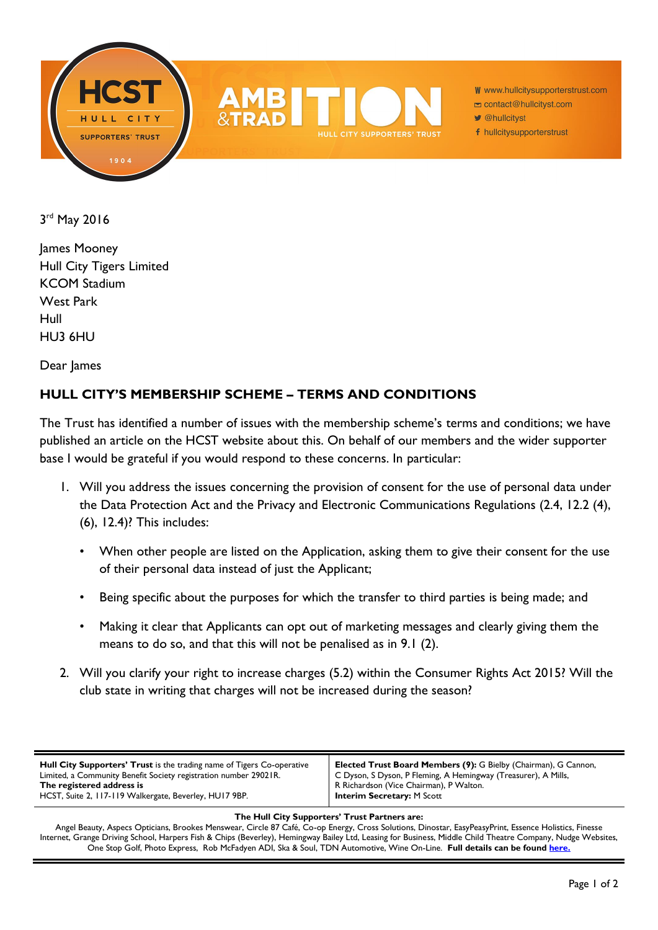



W www.hullcitysupporterstrust.com

- contact@hullcityst.com
- @hullcityst
- f hullcitysupporterstrust

3 rd May 2016

James Mooney Hull City Tigers Limited KCOM Stadium West Park Hull HU3 6HU

Dear James

## **HULL CITY'S MEMBERSHIP SCHEME – TERMS AND CONDITIONS**

The Trust has identified a number of issues with the membership scheme's terms and conditions; we have published an article on the HCST website about this. On behalf of our members and the wider supporter base I would be grateful if you would respond to these concerns. In particular:

- 1. Will you address the issues concerning the provision of consent for the use of personal data under the Data Protection Act and the Privacy and Electronic Communications Regulations (2.4, 12.2 (4), (6), 12.4)? This includes:
	- When other people are listed on the Application, asking them to give their consent for the use of their personal data instead of just the Applicant;
	- Being specific about the purposes for which the transfer to third parties is being made; and
	- Making it clear that Applicants can opt out of marketing messages and clearly giving them the means to do so, and that this will not be penalised as in 9.1 (2).
- 2. Will you clarify your right to increase charges (5.2) within the Consumer Rights Act 2015? Will the club state in writing that charges will not be increased during the season?

## **The Hull City Supporters' Trust Partners are:**

Angel Beauty, Aspecs Opticians, Brookes Menswear, Circle 87 Café, Co-op Energy, Cross Solutions, Dinostar, EasyPeasyPrint, Essence Holistics, Finesse Internet, Grange Driving School, Harpers Fish & Chips (Beverley), Hemingway Bailey Ltd, Leasing for Business, Middle Child Theatre Company, Nudge Websites, One Stop Golf, Photo Express, Rob McFadyen ADI, Ska & Soul, TDN Automotive, Wine On-Line. **Full details can be found [here.](http://www.hullcitysupporterstrust.com/partners)**